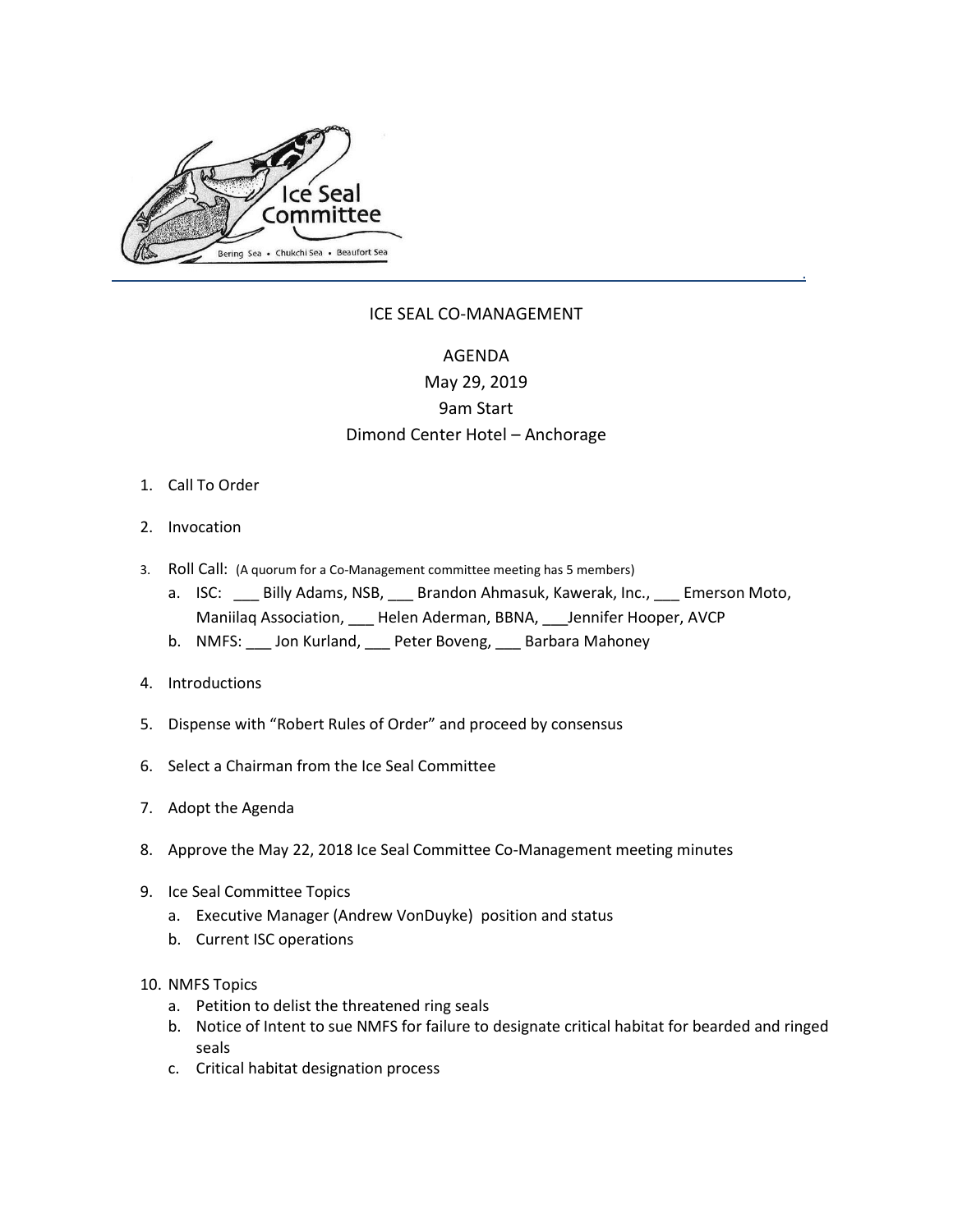

## ICE SEAL CO-MANAGEMENT

## AGENDA

## May 29, 2019 9am Start Dimond Center Hotel – Anchorage

- 1. Call To Order
- 2. Invocation
- 3. Roll Call: (A quorum for a Co-Management committee meeting has 5 members)
	- a. ISC: Billy Adams, NSB, Brandon Ahmasuk, Kawerak, Inc., Bruerson Moto, Maniilaq Association, \_\_\_ Helen Aderman, BBNA, \_\_\_Jennifer Hooper, AVCP
	- b. NMFS: \_\_\_ Jon Kurland, \_\_\_ Peter Boveng, \_\_\_ Barbara Mahoney
- 4. Introductions
- 5. Dispense with "Robert Rules of Order" and proceed by consensus
- 6. Select a Chairman from the Ice Seal Committee
- 7. Adopt the Agenda
- 8. Approve the May 22, 2018 Ice Seal Committee Co-Management meeting minutes
- 9. Ice Seal Committee Topics
	- a. Executive Manager (Andrew VonDuyke) position and status
	- b. Current ISC operations
- 10. NMFS Topics
	- a. Petition to delist the threatened ring seals
	- b. Notice of Intent to sue NMFS for failure to designate critical habitat for bearded and ringed seals
	- c. Critical habitat designation process